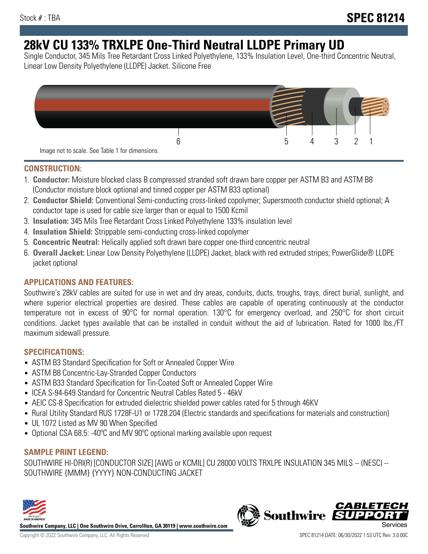# **28kV CU 133% TRXLPE One-Third Neutral LLDPE Primary UD**

Single Conductor, 345 Mils Tree Retardant Cross Linked Polyethylene, 133% Insulation Level, One-third Concentric Neutral, Linear Low Density Polyethylene (LLDPE) Jacket. Silicone Free



### **CONSTRUCTION:**

- 1. **Conductor:** Moisture blocked class B compressed stranded soft drawn bare copper per ASTM B3 and ASTM B8 (Conductor moisture block optional and tinned copper per ASTM B33 optional)
- 2. **Conductor Shield:** Conventional Semi-conducting cross-linked copolymer; Supersmooth conductor shield optional; A conductor tape is used for cable size larger than or equal to 1500 Kcmil
- 3. **Insulation:** 345 Mils Tree Retardant Cross Linked Polyethylene 133% insulation level
- 4. **Insulation Shield:** Strippable semi-conducting cross-linked copolymer
- 5. **Concentric Neutral:** Helically applied soft drawn bare copper one-third concentric neutral
- 6. **Overall Jacket:** Linear Low Density Polyethylene (LLDPE) Jacket, black with red extruded stripes; PowerGlide® LLDPE jacket optional

## **APPLICATIONS AND FEATURES:**

Southwire's 28kV cables are suited for use in wet and dry areas, conduits, ducts, troughs, trays, direct burial, sunlight, and where superior electrical properties are desired. These cables are capable of operating continuously at the conductor temperature not in excess of 90°C for normal operation. 130°C for emergency overload, and 250°C for short circuit conditions. Jacket types available that can be installed in conduit without the aid of lubrication. Rated for 1000 lbs./FT maximum sidewall pressure.

## **SPECIFICATIONS:**

- ASTM B3 Standard Specification for Soft or Annealed Copper Wire
- ASTM B8 Concentric-Lay-Stranded Copper Conductors
- ASTM B33 Standard Specification for Tin-Coated Soft or Annealed Copper Wire
- ICEA S-94-649 Standard for Concentric Neutral Cables Rated 5 46kV
- AEIC CS-8 Specification for extruded dielectric shielded power cables rated for 5 through 46KV
- Rural Utility Standard RUS 1728F-U1 or 1728.204 (Electric standards and specifications for materials and construction)
- UL 1072 Listed as MV 90 When Specified
- Optional CSA 68.5: -40ºC and MV 90ºC optional marking available upon request

# **SAMPLE PRINT LEGEND:**

SOUTHWIRE HI-DRI(R) [CONDUCTOR SIZE] [AWG or KCMIL] CU 28000 VOLTS TRXLPE INSULATION 345 MILS -- (NESC) -- SOUTHWIRE {MMM} {YYYY} NON-CONDUCTING JACKET



**Southwire Company, LLC | One Southwire Drive, Carrollton, GA 30119 | www.southwire.com**